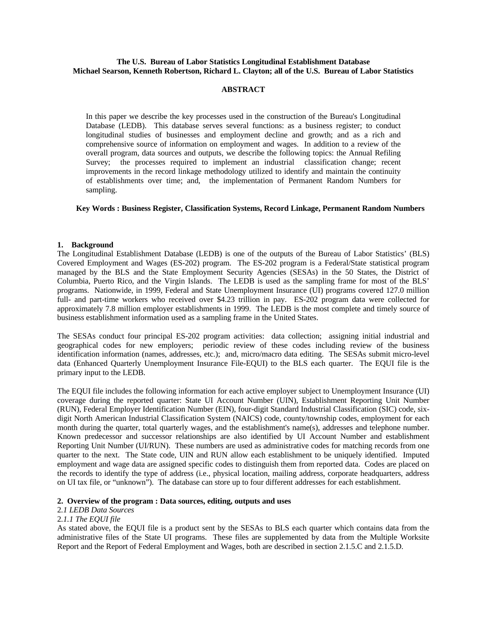# **The U.S. Bureau of Labor Statistics Longitudinal Establishment Database Michael Searson, Kenneth Robertson, Richard L. Clayton; all of the U.S. Bureau of Labor Statistics**

# **ABSTRACT**

In this paper we describe the key processes used in the construction of the Bureau's Longitudinal Database (LEDB). This database serves several functions: as a business register; to conduct longitudinal studies of businesses and employment decline and growth; and as a rich and comprehensive source of information on employment and wages. In addition to a review of the overall program, data sources and outputs, we describe the following topics: the Annual Refiling Survey; the processes required to implement an industrial classification change; recent improvements in the record linkage methodology utilized to identify and maintain the continuity of establishments over time; and, the implementation of Permanent Random Numbers for sampling.

# **Key Words : Business Register, Classification Systems, Record Linkage, Permanent Random Numbers**

## **1. Background**

The Longitudinal Establishment Database (LEDB) is one of the outputs of the Bureau of Labor Statistics' (BLS) Covered Employment and Wages (ES-202) program. The ES-202 program is a Federal/State statistical program managed by the BLS and the State Employment Security Agencies (SESAs) in the 50 States, the District of Columbia, Puerto Rico, and the Virgin Islands. The LEDB is used as the sampling frame for most of the BLS' programs. Nationwide, in 1999, Federal and State Unemployment Insurance (UI) programs covered 127.0 million full- and part-time workers who received over \$4.23 trillion in pay. ES-202 program data were collected for approximately 7.8 million employer establishments in 1999. The LEDB is the most complete and timely source of business establishment information used as a sampling frame in the United States.

The SESAs conduct four principal ES-202 program activities: data collection; assigning initial industrial and geographical codes for new employers; periodic review of these codes including review of the business identification information (names, addresses, etc.); and, micro/macro data editing. The SESAs submit micro-level data (Enhanced Quarterly Unemployment Insurance File-EQUI) to the BLS each quarter. The EQUI file is the primary input to the LEDB.

The EQUI file includes the following information for each active employer subject to Unemployment Insurance (UI) coverage during the reported quarter: State UI Account Number (UIN), Establishment Reporting Unit Number (RUN), Federal Employer Identification Number (EIN), four-digit Standard Industrial Classification (SIC) code, sixdigit North American Industrial Classification System (NAICS) code, county/township codes, employment for each month during the quarter, total quarterly wages, and the establishment's name(s), addresses and telephone number. Known predecessor and successor relationships are also identified by UI Account Number and establishment Reporting Unit Number (UI/RUN). These numbers are used as administrative codes for matching records from one quarter to the next. The State code, UIN and RUN allow each establishment to be uniquely identified. Imputed employment and wage data are assigned specific codes to distinguish them from reported data. Codes are placed on the records to identify the type of address (i.e., physical location, mailing address, corporate headquarters, address on UI tax file, or "unknown"). The database can store up to four different addresses for each establishment.

# **2. Overview of the program : Data sources, editing, outputs and uses**

## 2*.1 LEDB Data Sources*

# 2*.1.1 The EQUI file*

As stated above, the EQUI file is a product sent by the SESAs to BLS each quarter which contains data from the administrative files of the State UI programs. These files are supplemented by data from the Multiple Worksite Report and the Report of Federal Employment and Wages, both are described in section 2.1.5.C and 2.1.5.D.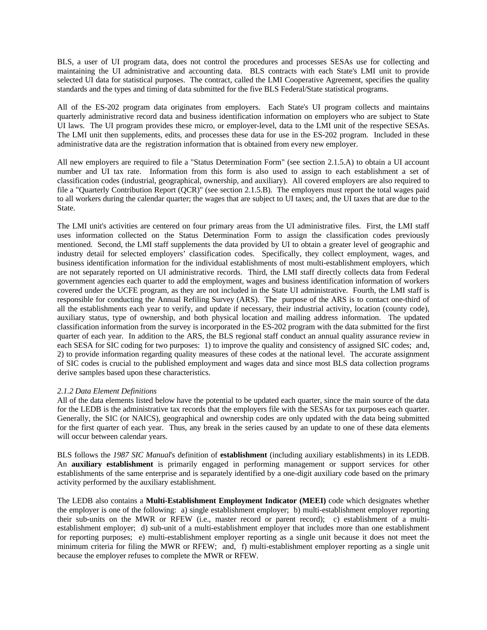BLS, a user of UI program data, does not control the procedures and processes SESAs use for collecting and maintaining the UI administrative and accounting data. BLS contracts with each State's LMI unit to provide selected UI data for statistical purposes. The contract, called the LMI Cooperative Agreement, specifies the quality standards and the types and timing of data submitted for the five BLS Federal/State statistical programs.

All of the ES-202 program data originates from employers. Each State's UI program collects and maintains quarterly administrative record data and business identification information on employers who are subject to State UI laws. The UI program provides these micro, or employer-level, data to the LMI unit of the respective SESAs. The LMI unit then supplements, edits, and processes these data for use in the ES-202 program. Included in these administrative data are the registration information that is obtained from every new employer.

All new employers are required to file a "Status Determination Form" (see section 2.1.5.A) to obtain a UI account number and UI tax rate. Information from this form is also used to assign to each establishment a set of classification codes (industrial, geographical, ownership, and auxiliary). All covered employers are also required to file a "Quarterly Contribution Report (QCR)" (see section 2.1.5.B). The employers must report the total wages paid to all workers during the calendar quarter; the wages that are subject to UI taxes; and, the UI taxes that are due to the State.

The LMI unit's activities are centered on four primary areas from the UI administrative files. First, the LMI staff uses information collected on the Status Determination Form to assign the classification codes previously mentioned. Second, the LMI staff supplements the data provided by UI to obtain a greater level of geographic and industry detail for selected employers' classification codes. Specifically, they collect employment, wages, and business identification information for the individual establishments of most multi-establishment employers, which are not separately reported on UI administrative records. Third, the LMI staff directly collects data from Federal government agencies each quarter to add the employment, wages and business identification information of workers covered under the UCFE program, as they are not included in the State UI administrative. Fourth, the LMI staff is responsible for conducting the Annual Refiling Survey (ARS). The purpose of the ARS is to contact one-third of all the establishments each year to verify, and update if necessary, their industrial activity, location (county code), auxiliary status, type of ownership, and both physical location and mailing address information. The updated classification information from the survey is incorporated in the ES-202 program with the data submitted for the first quarter of each year. In addition to the ARS, the BLS regional staff conduct an annual quality assurance review in each SESA for SIC coding for two purposes: 1) to improve the quality and consistency of assigned SIC codes; and, 2) to provide information regarding quality measures of these codes at the national level. The accurate assignment of SIC codes is crucial to the published employment and wages data and since most BLS data collection programs derive samples based upon these characteristics.

## *2.1.2 Data Element Definitions*

All of the data elements listed below have the potential to be updated each quarter, since the main source of the data for the LEDB is the administrative tax records that the employers file with the SESAs for tax purposes each quarter. Generally, the SIC (or NAICS), geographical and ownership codes are only updated with the data being submitted for the first quarter of each year. Thus, any break in the series caused by an update to one of these data elements will occur between calendar years.

BLS follows the *1987 SIC Manual*'s definition of **establishment** (including auxiliary establishments) in its LEDB. An **auxiliary establishment** is primarily engaged in performing management or support services for other establishments of the same enterprise and is separately identified by a one-digit auxiliary code based on the primary activity performed by the auxiliary establishment.

The LEDB also contains a **Multi-Establishment Employment Indicator (MEEI)** code which designates whether the employer is one of the following: a) single establishment employer; b) multi-establishment employer reporting their sub-units on the MWR or RFEW (i.e., master record or parent record); c) establishment of a multiestablishment employer; d) sub-unit of a multi-establishment employer that includes more than one establishment for reporting purposes; e) multi-establishment employer reporting as a single unit because it does not meet the minimum criteria for filing the MWR or RFEW; and, f) multi-establishment employer reporting as a single unit because the employer refuses to complete the MWR or RFEW.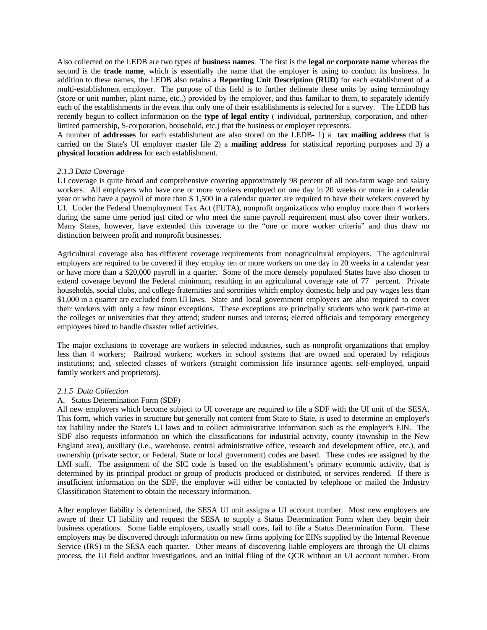Also collected on the LEDB are two types of **business names**. The first is the **legal or corporate name** whereas the second is the **trade name**, which is essentially the name that the employer is using to conduct its business. In addition to these names, the LEDB also retains a **Reporting Unit Description (RUD)** for each establishment of a multi-establishment employer. The purpose of this field is to further delineate these units by using terminology (store or unit number, plant name, etc.,) provided by the employer, and thus familiar to them, to separately identify each of the establishments in the event that only one of their establishments is selected for a survey. The LEDB has recently begun to collect information on the **type of legal entity** ( individual, partnership, corporation, and otherlimited partnership, S-corporation, household, etc.) that the business or employer represents.

A number of **addresses** for each establishment are also stored on the LEDB- 1) a **tax mailing address** that is carried on the State's UI employer master file 2) a **mailing address** for statistical reporting purposes and 3) a **physical location address** for each establishment.

## *2.1.3 Data Coverage*

UI coverage is quite broad and comprehensive covering approximately 98 percent of all non-farm wage and salary workers. All employers who have one or more workers employed on one day in 20 weeks or more in a calendar year or who have a payroll of more than \$ 1,500 in a calendar quarter are required to have their workers covered by UI. Under the Federal Unemployment Tax Act (FUTA), nonprofit organizations who employ more than 4 workers during the same time period just cited or who meet the same payroll requirement must also cover their workers. Many States, however, have extended this coverage to the "one or more worker criteria" and thus draw no distinction between profit and nonprofit businesses.

Agricultural coverage also has different coverage requirements from nonagricultural employers. The agricultural employers are required to be covered if they employ ten or more workers on one day in 20 weeks in a calendar year or have more than a \$20,000 payroll in a quarter. Some of the more densely populated States have also chosen to extend coverage beyond the Federal minimum, resulting in an agricultural coverage rate of 77 percent. Private households, social clubs, and college fraternities and sororities which employ domestic help and pay wages less than \$1,000 in a quarter are excluded from UI laws. State and local government employers are also required to cover their workers with only a few minor exceptions. These exceptions are principally students who work part-time at the colleges or universities that they attend; student nurses and interns; elected officials and temporary emergency employees hired to handle disaster relief activities.

The major exclusions to coverage are workers in selected industries, such as nonprofit organizations that employ less than 4 workers; Railroad workers; workers in school systems that are owned and operated by religious institutions; and, selected classes of workers (straight commission life insurance agents, self-employed, unpaid family workers and proprietors).

### *2.1.5 Data Collection*

### A. Status Determination Form (SDF)

All new employers which become subject to UI coverage are required to file a SDF with the UI unit of the SESA. This form, which varies in structure but generally not content from State to State, is used to determine an employer's tax liability under the State's UI laws and to collect administrative information such as the employer's EIN. The SDF also requests information on which the classifications for industrial activity, county (township in the New England area), auxiliary (i.e., warehouse, central administrative office, research and development office, etc.), and ownership (private sector, or Federal, State or local government) codes are based. These codes are assigned by the LMI staff. The assignment of the SIC code is based on the establishment's primary economic activity, that is determined by its principal product or group of products produced or distributed, or services rendered. If there is insufficient information on the SDF, the employer will either be contacted by telephone or mailed the Industry Classification Statement to obtain the necessary information.

After employer liability is determined, the SESA UI unit assigns a UI account number. Most new employers are aware of their UI liability and request the SESA to supply a Status Determination Form when they begin their business operations. Some liable employers, usually small ones, fail to file a Status Determination Form. These employers may be discovered through information on new firms applying for EINs supplied by the Internal Revenue Service (IRS) to the SESA each quarter. Other means of discovering liable employers are through the UI claims process, the UI field auditor investigations, and an initial filing of the QCR without an UI account number. From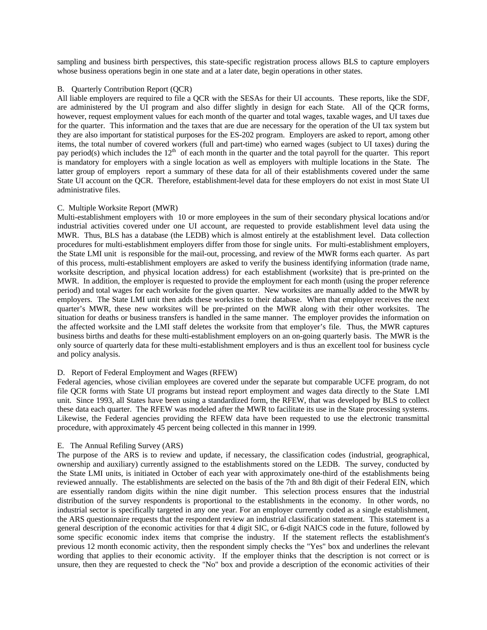sampling and business birth perspectives, this state-specific registration process allows BLS to capture employers whose business operations begin in one state and at a later date, begin operations in other states.

## B. Quarterly Contribution Report (QCR)

All liable employers are required to file a QCR with the SESAs for their UI accounts. These reports, like the SDF, are administered by the UI program and also differ slightly in design for each State. All of the QCR forms, however, request employment values for each month of the quarter and total wages, taxable wages, and UI taxes due for the quarter. This information and the taxes that are due are necessary for the operation of the UI tax system but they are also important for statistical purposes for the ES-202 program. Employers are asked to report, among other items, the total number of covered workers (full and part-time) who earned wages (subject to UI taxes) during the pay period(s) which includes the  $12<sup>th</sup>$  of each month in the quarter and the total payroll for the quarter. This report is mandatory for employers with a single location as well as employers with multiple locations in the State. The latter group of employers report a summary of these data for all of their establishments covered under the same State UI account on the QCR. Therefore, establishment-level data for these employers do not exist in most State UI administrative files.

## C. Multiple Worksite Report (MWR)

Multi-establishment employers with 10 or more employees in the sum of their secondary physical locations and/or industrial activities covered under one UI account, are requested to provide establishment level data using the MWR. Thus, BLS has a database (the LEDB) which is almost entirely at the establishment level. Data collection procedures for multi-establishment employers differ from those for single units. For multi-establishment employers, the State LMI unit is responsible for the mail-out, processing, and review of the MWR forms each quarter. As part of this process, multi-establishment employers are asked to verify the business identifying information (trade name, worksite description, and physical location address) for each establishment (worksite) that is pre-printed on the MWR. In addition, the employer is requested to provide the employment for each month (using the proper reference period) and total wages for each worksite for the given quarter. New worksites are manually added to the MWR by employers. The State LMI unit then adds these worksites to their database. When that employer receives the next quarter's MWR, these new worksites will be pre-printed on the MWR along with their other worksites. The situation for deaths or business transfers is handled in the same manner. The employer provides the information on the affected worksite and the LMI staff deletes the worksite from that employer's file. Thus, the MWR captures business births and deaths for these multi-establishment employers on an on-going quarterly basis. The MWR is the only source of quarterly data for these multi-establishment employers and is thus an excellent tool for business cycle and policy analysis.

## D. Report of Federal Employment and Wages (RFEW)

Federal agencies, whose civilian employees are covered under the separate but comparable UCFE program, do not file QCR forms with State UI programs but instead report employment and wages data directly to the State LMI unit. Since 1993, all States have been using a standardized form, the RFEW, that was developed by BLS to collect these data each quarter. The RFEW was modeled after the MWR to facilitate its use in the State processing systems. Likewise, the Federal agencies providing the RFEW data have been requested to use the electronic transmittal procedure, with approximately 45 percent being collected in this manner in 1999.

## E. The Annual Refiling Survey (ARS)

The purpose of the ARS is to review and update, if necessary, the classification codes (industrial, geographical, ownership and auxiliary) currently assigned to the establishments stored on the LEDB. The survey, conducted by the State LMI units, is initiated in October of each year with approximately one-third of the establishments being reviewed annually. The establishments are selected on the basis of the 7th and 8th digit of their Federal EIN, which are essentially random digits within the nine digit number. This selection process ensures that the industrial distribution of the survey respondents is proportional to the establishments in the economy. In other words, no industrial sector is specifically targeted in any one year. For an employer currently coded as a single establishment, the ARS questionnaire requests that the respondent review an industrial classification statement. This statement is a general description of the economic activities for that 4 digit SIC, or 6-digit NAICS code in the future, followed by some specific economic index items that comprise the industry. If the statement reflects the establishment's previous 12 month economic activity, then the respondent simply checks the "Yes" box and underlines the relevant wording that applies to their economic activity. If the employer thinks that the description is not correct or is unsure, then they are requested to check the "No" box and provide a description of the economic activities of their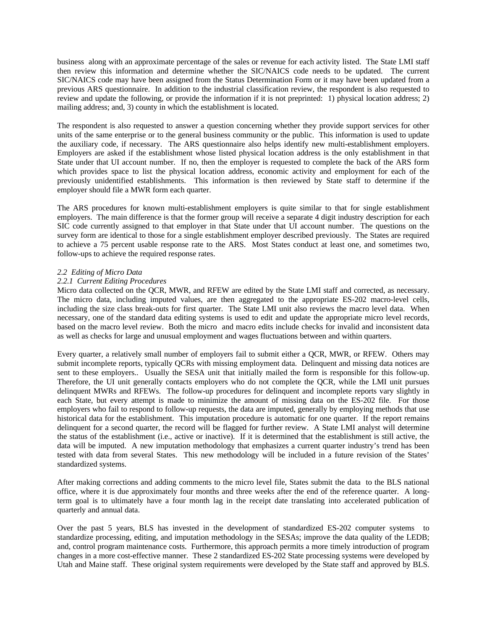business along with an approximate percentage of the sales or revenue for each activity listed. The State LMI staff then review this information and determine whether the SIC/NAICS code needs to be updated. The current SIC/NAICS code may have been assigned from the Status Determination Form or it may have been updated from a previous ARS questionnaire. In addition to the industrial classification review, the respondent is also requested to review and update the following, or provide the information if it is not preprinted: 1) physical location address; 2) mailing address; and, 3) county in which the establishment is located.

The respondent is also requested to answer a question concerning whether they provide support services for other units of the same enterprise or to the general business community or the public. This information is used to update the auxiliary code, if necessary. The ARS questionnaire also helps identify new multi-establishment employers. Employers are asked if the establishment whose listed physical location address is the only establishment in that State under that UI account number. If no, then the employer is requested to complete the back of the ARS form which provides space to list the physical location address, economic activity and employment for each of the previously unidentified establishments. This information is then reviewed by State staff to determine if the employer should file a MWR form each quarter.

The ARS procedures for known multi-establishment employers is quite similar to that for single establishment employers. The main difference is that the former group will receive a separate 4 digit industry description for each SIC code currently assigned to that employer in that State under that UI account number. The questions on the survey form are identical to those for a single establishment employer described previously. The States are required to achieve a 75 percent usable response rate to the ARS. Most States conduct at least one, and sometimes two, follow-ups to achieve the required response rates.

## *2.2 Editing of Micro Data*

## *2.2.1 Current Editing Procedures*

Micro data collected on the QCR, MWR, and RFEW are edited by the State LMI staff and corrected, as necessary. The micro data, including imputed values, are then aggregated to the appropriate ES-202 macro-level cells, including the size class break-outs for first quarter. The State LMI unit also reviews the macro level data. When necessary, one of the standard data editing systems is used to edit and update the appropriate micro level records, based on the macro level review. Both the micro and macro edits include checks for invalid and inconsistent data as well as checks for large and unusual employment and wages fluctuations between and within quarters.

Every quarter, a relatively small number of employers fail to submit either a QCR, MWR, or RFEW. Others may submit incomplete reports, typically QCRs with missing employment data. Delinquent and missing data notices are sent to these employers.. Usually the SESA unit that initially mailed the form is responsible for this follow-up. Therefore, the UI unit generally contacts employers who do not complete the QCR, while the LMI unit pursues delinquent MWRs and RFEWs. The follow-up procedures for delinquent and incomplete reports vary slightly in each State, but every attempt is made to minimize the amount of missing data on the ES-202 file. For those employers who fail to respond to follow-up requests, the data are imputed, generally by employing methods that use historical data for the establishment. This imputation procedure is automatic for one quarter. If the report remains delinquent for a second quarter, the record will be flagged for further review. A State LMI analyst will determine the status of the establishment (i.e., active or inactive). If it is determined that the establishment is still active, the data will be imputed. A new imputation methodology that emphasizes a current quarter industry's trend has been tested with data from several States. This new methodology will be included in a future revision of the States' standardized systems.

After making corrections and adding comments to the micro level file, States submit the data to the BLS national office, where it is due approximately four months and three weeks after the end of the reference quarter. A longterm goal is to ultimately have a four month lag in the receipt date translating into accelerated publication of quarterly and annual data.

Over the past 5 years, BLS has invested in the development of standardized ES-202 computer systems to standardize processing, editing, and imputation methodology in the SESAs; improve the data quality of the LEDB; and, control program maintenance costs. Furthermore, this approach permits a more timely introduction of program changes in a more cost-effective manner. These 2 standardized ES-202 State processing systems were developed by Utah and Maine staff. These original system requirements were developed by the State staff and approved by BLS.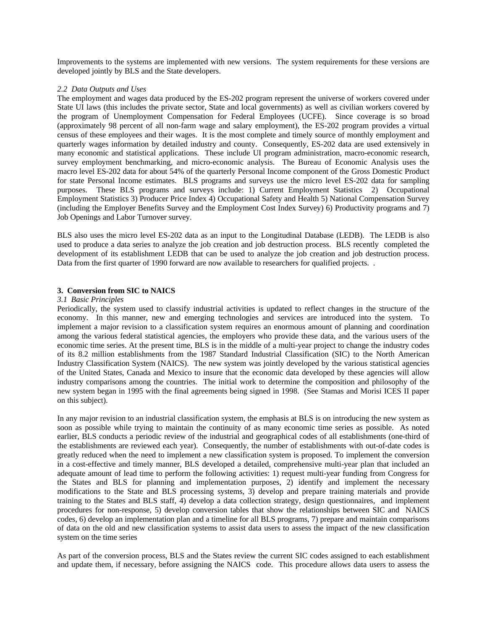Improvements to the systems are implemented with new versions. The system requirements for these versions are developed jointly by BLS and the State developers.

### *2.2 Data Outputs and Uses*

The employment and wages data produced by the ES-202 program represent the universe of workers covered under State UI laws (this includes the private sector, State and local governments) as well as civilian workers covered by the program of Unemployment Compensation for Federal Employees (UCFE). Since coverage is so broad (approximately 98 percent of all non-farm wage and salary employment), the ES-202 program provides a virtual census of these employees and their wages. It is the most complete and timely source of monthly employment and quarterly wages information by detailed industry and county. Consequently, ES-202 data are used extensively in many economic and statistical applications. These include UI program administration, macro-economic research, survey employment benchmarking, and micro-economic analysis. The Bureau of Economic Analysis uses the macro level ES-202 data for about 54% of the quarterly Personal Income component of the Gross Domestic Product for state Personal Income estimates. BLS programs and surveys use the micro level ES-202 data for sampling purposes. These BLS programs and surveys include: 1) Current Employment Statistics 2) Occupational Employment Statistics 3) Producer Price Index 4) Occupational Safety and Health 5) National Compensation Survey (including the Employer Benefits Survey and the Employment Cost Index Survey) 6) Productivity programs and 7) Job Openings and Labor Turnover survey.

BLS also uses the micro level ES-202 data as an input to the Longitudinal Database (LEDB). The LEDB is also used to produce a data series to analyze the job creation and job destruction process. BLS recently completed the development of its establishment LEDB that can be used to analyze the job creation and job destruction process. Data from the first quarter of 1990 forward are now available to researchers for qualified projects. .

## **3. Conversion from SIC to NAICS**

#### *3.1 Basic Principles*

Periodically, the system used to classify industrial activities is updated to reflect changes in the structure of the economy. In this manner, new and emerging technologies and services are introduced into the system. To implement a major revision to a classification system requires an enormous amount of planning and coordination among the various federal statistical agencies, the employers who provide these data, and the various users of the economic time series. At the present time, BLS is in the middle of a multi-year project to change the industry codes of its 8.2 million establishments from the 1987 Standard Industrial Classification (SIC) to the North American Industry Classification System (NAICS). The new system was jointly developed by the various statistical agencies of the United States, Canada and Mexico to insure that the economic data developed by these agencies will allow industry comparisons among the countries. The initial work to determine the composition and philosophy of the new system began in 1995 with the final agreements being signed in 1998. (See Stamas and Morisi ICES II paper on this subject).

In any major revision to an industrial classification system, the emphasis at BLS is on introducing the new system as soon as possible while trying to maintain the continuity of as many economic time series as possible. As noted earlier, BLS conducts a periodic review of the industrial and geographical codes of all establishments (one-third of the establishments are reviewed each year). Consequently, the number of establishments with out-of-date codes is greatly reduced when the need to implement a new classification system is proposed. To implement the conversion in a cost-effective and timely manner, BLS developed a detailed, comprehensive multi-year plan that included an adequate amount of lead time to perform the following activities: 1) request multi-year funding from Congress for the States and BLS for planning and implementation purposes, 2) identify and implement the necessary modifications to the State and BLS processing systems, 3) develop and prepare training materials and provide training to the States and BLS staff, 4) develop a data collection strategy, design questionnaires, and implement procedures for non-response, 5) develop conversion tables that show the relationships between SIC and NAICS codes, 6) develop an implementation plan and a timeline for all BLS programs, 7) prepare and maintain comparisons of data on the old and new classification systems to assist data users to assess the impact of the new classification system on the time series

As part of the conversion process, BLS and the States review the current SIC codes assigned to each establishment and update them, if necessary, before assigning the NAICS code. This procedure allows data users to assess the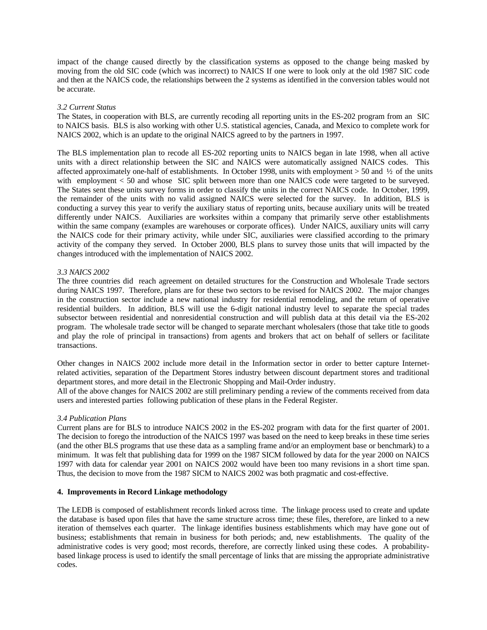impact of the change caused directly by the classification systems as opposed to the change being masked by moving from the old SIC code (which was incorrect) to NAICS If one were to look only at the old 1987 SIC code and then at the NAICS code, the relationships between the 2 systems as identified in the conversion tables would not be accurate.

## *3.2 Current Status*

The States, in cooperation with BLS, are currently recoding all reporting units in the ES-202 program from an SIC to NAICS basis. BLS is also working with other U.S. statistical agencies, Canada, and Mexico to complete work for NAICS 2002, which is an update to the original NAICS agreed to by the partners in 1997.

The BLS implementation plan to recode all ES-202 reporting units to NAICS began in late 1998, when all active units with a direct relationship between the SIC and NAICS were automatically assigned NAICS codes. This affected approximately one-half of establishments. In October 1998, units with employment  $> 50$  and  $\frac{1}{2}$  of the units with employment  $\lt 50$  and whose SIC split between more than one NAICS code were targeted to be surveyed. The States sent these units survey forms in order to classify the units in the correct NAICS code. In October, 1999, the remainder of the units with no valid assigned NAICS were selected for the survey. In addition, BLS is conducting a survey this year to verify the auxiliary status of reporting units, because auxiliary units will be treated differently under NAICS. Auxiliaries are worksites within a company that primarily serve other establishments within the same company (examples are warehouses or corporate offices). Under NAICS, auxiliary units will carry the NAICS code for their primary activity, while under SIC, auxiliaries were classified according to the primary activity of the company they served. In October 2000, BLS plans to survey those units that will impacted by the changes introduced with the implementation of NAICS 2002.

# *3.3 NAICS 2002*

The three countries did reach agreement on detailed structures for the Construction and Wholesale Trade sectors during NAICS 1997. Therefore, plans are for these two sectors to be revised for NAICS 2002. The major changes in the construction sector include a new national industry for residential remodeling, and the return of operative residential builders. In addition, BLS will use the 6-digit national industry level to separate the special trades subsector between residential and nonresidential construction and will publish data at this detail via the ES-202 program. The wholesale trade sector will be changed to separate merchant wholesalers (those that take title to goods and play the role of principal in transactions) from agents and brokers that act on behalf of sellers or facilitate transactions.

Other changes in NAICS 2002 include more detail in the Information sector in order to better capture Internetrelated activities, separation of the Department Stores industry between discount department stores and traditional department stores, and more detail in the Electronic Shopping and Mail-Order industry.

All of the above changes for NAICS 2002 are still preliminary pending a review of the comments received from data users and interested parties following publication of these plans in the Federal Register.

## *3.4 Publication Plans*

Current plans are for BLS to introduce NAICS 2002 in the ES-202 program with data for the first quarter of 2001. The decision to forego the introduction of the NAICS 1997 was based on the need to keep breaks in these time series (and the other BLS programs that use these data as a sampling frame and/or an employment base or benchmark) to a minimum. It was felt that publishing data for 1999 on the 1987 SICM followed by data for the year 2000 on NAICS 1997 with data for calendar year 2001 on NAICS 2002 would have been too many revisions in a short time span. Thus, the decision to move from the 1987 SICM to NAICS 2002 was both pragmatic and cost-effective.

# **4. Improvements in Record Linkage methodology**

The LEDB is composed of establishment records linked across time. The linkage process used to create and update the database is based upon files that have the same structure across time; these files, therefore, are linked to a new iteration of themselves each quarter. The linkage identifies business establishments which may have gone out of business; establishments that remain in business for both periods; and, new establishments. The quality of the administrative codes is very good; most records, therefore, are correctly linked using these codes. A probabilitybased linkage process is used to identify the small percentage of links that are missing the appropriate administrative codes.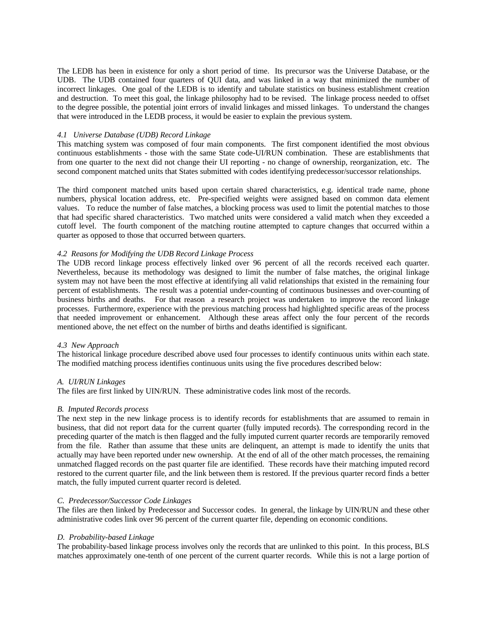The LEDB has been in existence for only a short period of time. Its precursor was the Universe Database, or the UDB. The UDB contained four quarters of QUI data, and was linked in a way that minimized the number of incorrect linkages. One goal of the LEDB is to identify and tabulate statistics on business establishment creation and destruction. To meet this goal, the linkage philosophy had to be revised. The linkage process needed to offset to the degree possible, the potential joint errors of invalid linkages and missed linkages. To understand the changes that were introduced in the LEDB process, it would be easier to explain the previous system.

## *4.1 Universe Database (UDB) Record Linkage*

This matching system was composed of four main components. The first component identified the most obvious continuous establishments - those with the same State code-UI/RUN combination. These are establishments that from one quarter to the next did not change their UI reporting - no change of ownership, reorganization, etc. The second component matched units that States submitted with codes identifying predecessor/successor relationships.

The third component matched units based upon certain shared characteristics, e.g. identical trade name, phone numbers, physical location address, etc. Pre-specified weights were assigned based on common data element values. To reduce the number of false matches, a blocking process was used to limit the potential matches to those that had specific shared characteristics. Two matched units were considered a valid match when they exceeded a cutoff level. The fourth component of the matching routine attempted to capture changes that occurred within a quarter as opposed to those that occurred between quarters.

## *4.2 Reasons for Modifying the UDB Record Linkage Process*

The UDB record linkage process effectively linked over 96 percent of all the records received each quarter. Nevertheless, because its methodology was designed to limit the number of false matches, the original linkage system may not have been the most effective at identifying all valid relationships that existed in the remaining four percent of establishments. The result was a potential under-counting of continuous businesses and over-counting of business births and deaths. For that reason a research project was undertaken to improve the record linkage processes. Furthermore, experience with the previous matching process had highlighted specific areas of the process that needed improvement or enhancement. Although these areas affect only the four percent of the records mentioned above, the net effect on the number of births and deaths identified is significant.

## *4.3 New Approach*

The historical linkage procedure described above used four processes to identify continuous units within each state. The modified matching process identifies continuous units using the five procedures described below:

#### *A. UI/RUN Linkages*

The files are first linked by UIN/RUN. These administrative codes link most of the records.

#### *B. Imputed Records process*

The next step in the new linkage process is to identify records for establishments that are assumed to remain in business, that did not report data for the current quarter (fully imputed records). The corresponding record in the preceding quarter of the match is then flagged and the fully imputed current quarter records are temporarily removed from the file. Rather than assume that these units are delinquent, an attempt is made to identify the units that actually may have been reported under new ownership. At the end of all of the other match processes, the remaining unmatched flagged records on the past quarter file are identified. These records have their matching imputed record restored to the current quarter file, and the link between them is restored. If the previous quarter record finds a better match, the fully imputed current quarter record is deleted.

## *C. Predecessor/Successor Code Linkages*

The files are then linked by Predecessor and Successor codes. In general, the linkage by UIN/RUN and these other administrative codes link over 96 percent of the current quarter file, depending on economic conditions.

### *D. Probability-based Linkage*

The probability-based linkage process involves only the records that are unlinked to this point. In this process, BLS matches approximately one-tenth of one percent of the current quarter records. While this is not a large portion of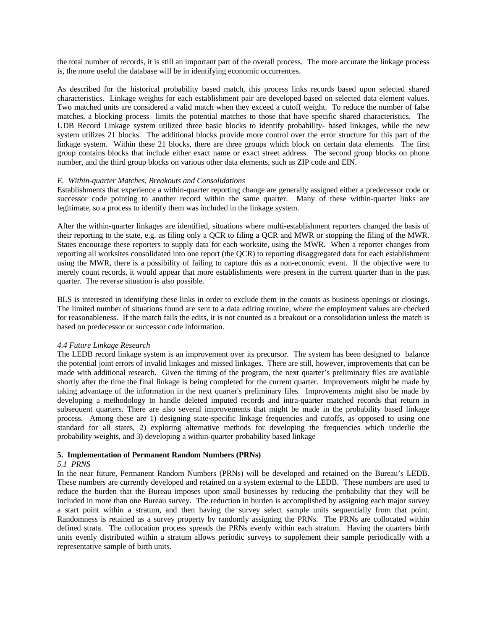the total number of records, it is still an important part of the overall process. The more accurate the linkage process is, the more useful the database will be in identifying economic occurrences.

As described for the historical probability based match, this process links records based upon selected shared characteristics. Linkage weights for each establishment pair are developed based on selected data element values. Two matched units are considered a valid match when they exceed a cutoff weight. To reduce the number of false matches, a blocking process limits the potential matches to those that have specific shared characteristics. The UDB Record Linkage system utilized three basic blocks to identify probability- based linkages, while the new system utilizes 21 blocks. The additional blocks provide more control over the error structure for this part of the linkage system. Within these 21 blocks, there are three groups which block on certain data elements. The first group contains blocks that include either exact name or exact street address. The second group blocks on phone number, and the third group blocks on various other data elements, such as ZIP code and EIN.

## *E. Within-quarter Matches, Breakouts and Consolidations*

Establishments that experience a within-quarter reporting change are generally assigned either a predecessor code or successor code pointing to another record within the same quarter. Many of these within-quarter links are legitimate, so a process to identify them was included in the linkage system.

After the within-quarter linkages are identified, situations where multi-establishment reporters changed the basis of their reporting to the state, e.g. as filing only a QCR to filing a QCR and MWR or stopping the filing of the MWR. States encourage these reporters to supply data for each worksite, using the MWR. When a reporter changes from reporting all worksites consolidated into one report (the QCR) to reporting disaggregated data for each establishment using the MWR, there is a possibility of failing to capture this as a non-economic event. If the objective were to merely count records, it would appear that more establishments were present in the current quarter than in the past quarter. The reverse situation is also possible.

BLS is interested in identifying these links in order to exclude them in the counts as business openings or closings. The limited number of situations found are sent to a data editing routine, where the employment values are checked for reasonableness. If the match fails the edits, it is not counted as a breakout or a consolidation unless the match is based on predecessor or successor code information.

## *4.4 Future Linkage Research*

The LEDB record linkage system is an improvement over its precursor. The system has been designed to balance the potential joint errors of invalid linkages and missed linkages. There are still, however, improvements that can be made with additional research. Given the timing of the program, the next quarter's preliminary files are available shortly after the time the final linkage is being completed for the current quarter. Improvements might be made by taking advantage of the information in the next quarter's preliminary files. Improvements might also be made by developing a methodology to handle deleted imputed records and intra-quarter matched records that return in subsequent quarters. There are also several improvements that might be made in the probability based linkage process. Among these are 1) designing state-specific linkage frequencies and cutoffs, as opposed to using one standard for all states, 2) exploring alternative methods for developing the frequencies which underlie the probability weights, and 3) developing a within-quarter probability based linkage

# **5. Implementation of Permanent Random Numbers (PRNs)**

## *5.1 PRNS*

In the near future, Permanent Random Numbers (PRNs) will be developed and retained on the Bureau's LEDB. These numbers are currently developed and retained on a system external to the LEDB. These numbers are used to reduce the burden that the Bureau imposes upon small businesses by reducing the probability that they will be included in more than one Bureau survey. The reduction in burden is accomplished by assigning each major survey a start point within a stratum, and then having the survey select sample units sequentially from that point. Randomness is retained as a survey property by randomly assigning the PRNs. The PRNs are collocated within defined strata. The collocation process spreads the PRNs evenly within each stratum. Having the quarters birth units evenly distributed within a stratum allows periodic surveys to supplement their sample periodically with a representative sample of birth units.